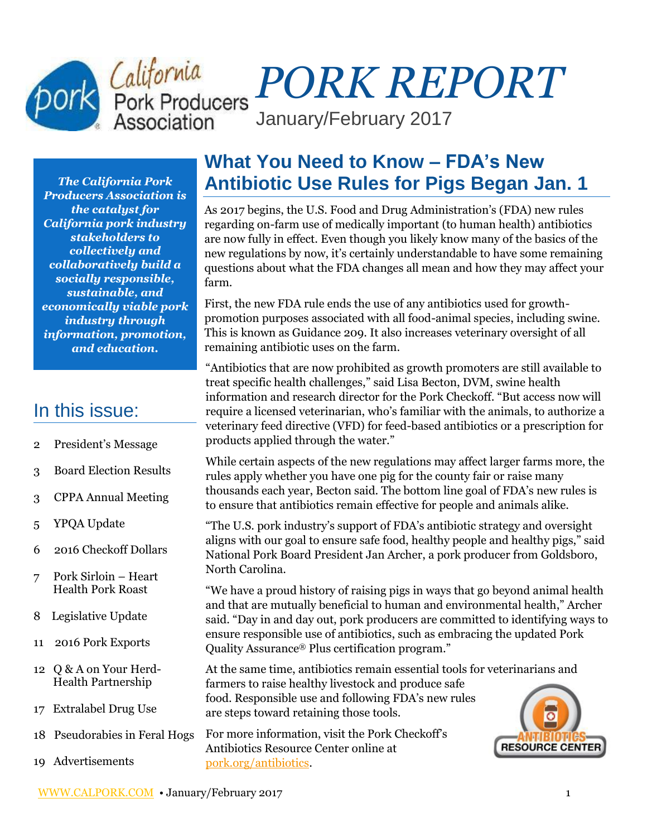# *PORK REPORT* January/February 2017

*The California Pork Producers Association is the catalyst for California pork industry stakeholders to collectively and collaboratively build a socially responsible, sustainable, and economically viable pork industry through information, promotion, and education.*

# In this issue:

- 2 President's Message
- 3 Board Election Results
- 3 CPPA Annual Meeting
- 5 YPQA Update
- 6 2016 Checkoff Dollars
- 7 Pork Sirloin Heart Health Pork Roast
- 8 Legislative Update
- 11 2016 Pork Exports
- 12 Q & A on Your Herd- Health Partnership
- 17 Extralabel Drug Use
- 18 Pseudorabies in Feral Hogs
- 19 Advertisements

# **What You Need to Know – FDA's New Antibiotic Use Rules for Pigs Began Jan. 1**

As 2017 begins, the U.S. Food and Drug Administration's (FDA) new rules regarding on-farm use of medically important (to human health) antibiotics are now fully in effect. Even though you likely know many of the basics of the new regulations by now, it's certainly understandable to have some remaining questions about what the FDA changes all mean and how they may affect your farm.

First, the new FDA rule ends the use of any antibiotics used for growthpromotion purposes associated with all food-animal species, including swine. This is known as Guidance 209. It also increases veterinary oversight of all remaining antibiotic uses on the farm.

"Antibiotics that are now prohibited as growth promoters are still available to treat specific health challenges," said Lisa Becton, DVM, swine health information and research director for the Pork Checkoff. "But access now will require a licensed veterinarian, who's familiar with the animals, to authorize a veterinary feed directive (VFD) for feed-based antibiotics or a prescription for products applied through the water."

While certain aspects of the new regulations may affect larger farms more, the rules apply whether you have one pig for the county fair or raise many thousands each year, Becton said. The bottom line goal of FDA's new rules is to ensure that antibiotics remain effective for people and animals alike.

"The U.S. pork industry's support of FDA's antibiotic strategy and oversight aligns with our goal to ensure safe food, healthy people and healthy pigs," said National Pork Board President Jan Archer, a pork producer from Goldsboro, North Carolina.

"We have a proud history of raising pigs in ways that go beyond animal health and that are mutually beneficial to human and environmental health," Archer said. "Day in and day out, pork producers are committed to identifying ways to ensure responsible use of antibiotics, such as embracing the updated Pork Quality Assurance® Plus certification program."

At the same time, antibiotics remain essential tools for veterinarians and farmers to raise healthy livestock and produce safe food. Responsible use and following FDA's new rules are steps toward retaining those tools.

For more information, visit the Pork Checkoff's Antibiotics Resource Center online at [pork.org/antibiotics.](http://pork.org/antibiotics)

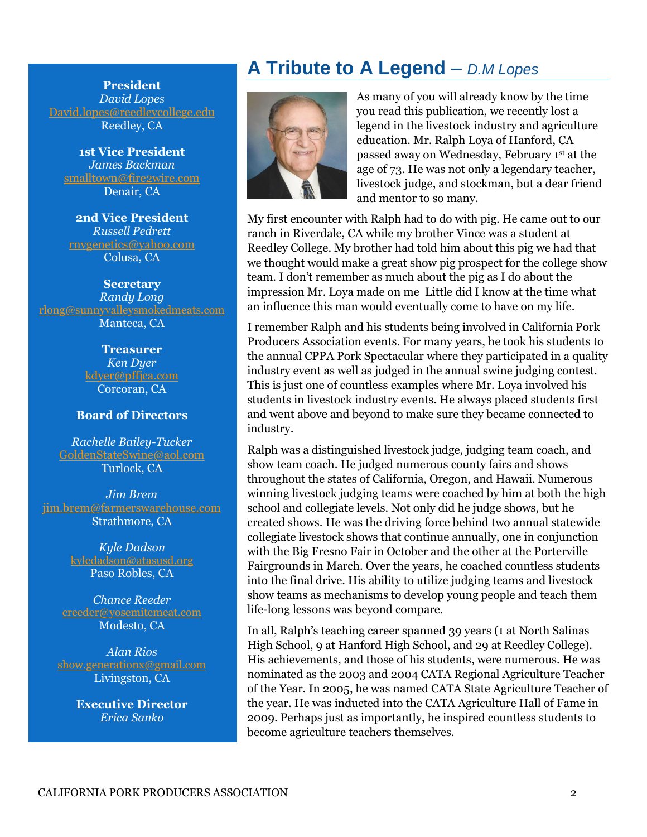**President** *David Lopes* [David.lopes@reedleycollege.edu](mailto:David.lopes@reedleycollege.edu) Reedley, CA

**1st Vice President** *James Backman* [smalltown@fire2wire.com](mailto:smalltown@fire2wire.com) Denair, CA

**2nd Vice President** *Russell Pedrett* [rnvgenetics@yahoo.com](mailto:rnvgenetics@yahoo.com) Colusa, CA

**Secretary** *Randy Long* [rlong@sunnyvalleysmokedmeats.com](mailto:rlong@sunnyvalleysmokedmeats.com) Manteca, CA

> **Treasurer** *Ken Dyer* [kdyer@pffjca.com](mailto:kdyer@pffjca.com) Corcoran, CA

#### **Board of Directors**

*Rachelle Bailey-Tucker* [GoldenStateSwine@aol.com](mailto:GoldenStateSwine@aol.com) Turlock, CA

*Jim Brem* [jim.brem@farmerswarehouse.com](mailto:jim.brem@farmerswarehouse.com) Strathmore, CA

> *Kyle Dadson*  $\operatorname{cyledadson}\nolimits$ @atasusd.org Paso Robles, CA

*Chance Reeder* [creeder@yosemitemeat.com](mailto:creeder@yosemitemeat.com) Modesto, CA

*Alan Rios* [show.generationx@gmail.com](mailto:show.generationx@gmail.com) Livingston, CA

> **Executive Director** *Erica Sanko*

# **A Tribute to A Legend** – *D.M Lopes*



As many of you will already know by the time you read this publication, we recently lost a legend in the livestock industry and agriculture education. Mr. Ralph Loya of Hanford, CA passed away on Wednesday, February 1st at the age of 73. He was not only a legendary teacher, livestock judge, and stockman, but a dear friend and mentor to so many.

My first encounter with Ralph had to do with pig. He came out to our ranch in Riverdale, CA while my brother Vince was a student at Reedley College. My brother had told him about this pig we had that we thought would make a great show pig prospect for the college show team. I don't remember as much about the pig as I do about the impression Mr. Loya made on me Little did I know at the time what an influence this man would eventually come to have on my life.

I remember Ralph and his students being involved in California Pork Producers Association events. For many years, he took his students to the annual CPPA Pork Spectacular where they participated in a quality industry event as well as judged in the annual swine judging contest. This is just one of countless examples where Mr. Loya involved his students in livestock industry events. He always placed students first and went above and beyond to make sure they became connected to industry.

Ralph was a distinguished livestock judge, judging team coach, and show team coach. He judged numerous county fairs and shows throughout the states of California, Oregon, and Hawaii. Numerous winning livestock judging teams were coached by him at both the high school and collegiate levels. Not only did he judge shows, but he created shows. He was the driving force behind two annual statewide collegiate livestock shows that continue annually, one in conjunction with the Big Fresno Fair in October and the other at the Porterville Fairgrounds in March. Over the years, he coached countless students into the final drive. His ability to utilize judging teams and livestock show teams as mechanisms to develop young people and teach them life-long lessons was beyond compare.

In all, Ralph's teaching career spanned 39 years (1 at North Salinas High School, 9 at Hanford High School, and 29 at Reedley College). His achievements, and those of his students, were numerous. He was nominated as the 2003 and 2004 CATA Regional Agriculture Teacher of the Year. In 2005, he was named CATA State Agriculture Teacher of the year. He was inducted into the CATA Agriculture Hall of Fame in 2009. Perhaps just as importantly, he inspired countless students to become agriculture teachers themselves.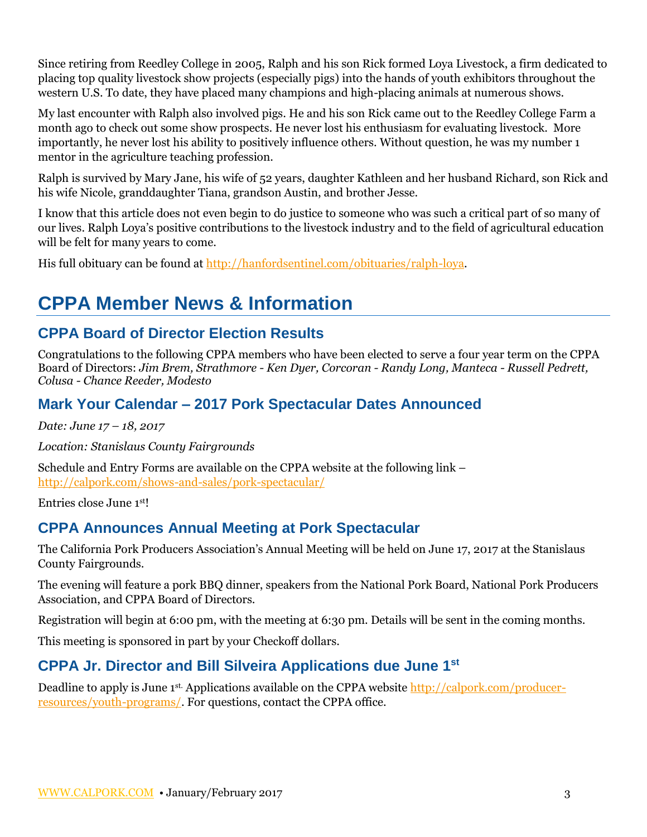Since retiring from Reedley College in 2005, Ralph and his son Rick formed Loya Livestock, a firm dedicated to placing top quality livestock show projects (especially pigs) into the hands of youth exhibitors throughout the western U.S. To date, they have placed many champions and high-placing animals at numerous shows.

My last encounter with Ralph also involved pigs. He and his son Rick came out to the Reedley College Farm a month ago to check out some show prospects. He never lost his enthusiasm for evaluating livestock. More importantly, he never lost his ability to positively influence others. Without question, he was my number 1 mentor in the agriculture teaching profession.

Ralph is survived by Mary Jane, his wife of 52 years, daughter Kathleen and her husband Richard, son Rick and his wife Nicole, granddaughter Tiana, grandson Austin, and brother Jesse.

I know that this article does not even begin to do justice to someone who was such a critical part of so many of our lives. Ralph Loya's positive contributions to the livestock industry and to the field of agricultural education will be felt for many years to come.

His full obituary can be found at [http://hanfordsentinel.com/obituaries/ralph-loya.](http://hanfordsentinel.com/obituaries/ralph-loya)

# **CPPA Member News & Information**

### **CPPA Board of Director Election Results**

Congratulations to the following CPPA members who have been elected to serve a four year term on the CPPA Board of Directors: *Jim Brem, Strathmore - Ken Dyer, Corcoran - Randy Long, Manteca - Russell Pedrett, Colusa - Chance Reeder, Modesto* 

### **Mark Your Calendar – 2017 Pork Spectacular Dates Announced**

*Date: June 17 – 18, 2017*

*Location: Stanislaus County Fairgrounds*

Schedule and Entry Forms are available on the CPPA website at the following link – <http://calpork.com/shows-and-sales/pork-spectacular/>

Entries close June 1st!

### **CPPA Announces Annual Meeting at Pork Spectacular**

The California Pork Producers Association's Annual Meeting will be held on June 17, 2017 at the Stanislaus County Fairgrounds.

The evening will feature a pork BBQ dinner, speakers from the National Pork Board, National Pork Producers Association, and CPPA Board of Directors.

Registration will begin at 6:00 pm, with the meeting at 6:30 pm. Details will be sent in the coming months.

This meeting is sponsored in part by your Checkoff dollars.

### **CPPA Jr. Director and Bill Silveira Applications due June 1st**

Deadline to apply is June 1<sup>st.</sup> Applications available on the CPPA website [http://calpork.com/producer](http://calpork.com/producer-resources/youth-programs/)[resources/youth-programs/.](http://calpork.com/producer-resources/youth-programs/) For questions, contact the CPPA office.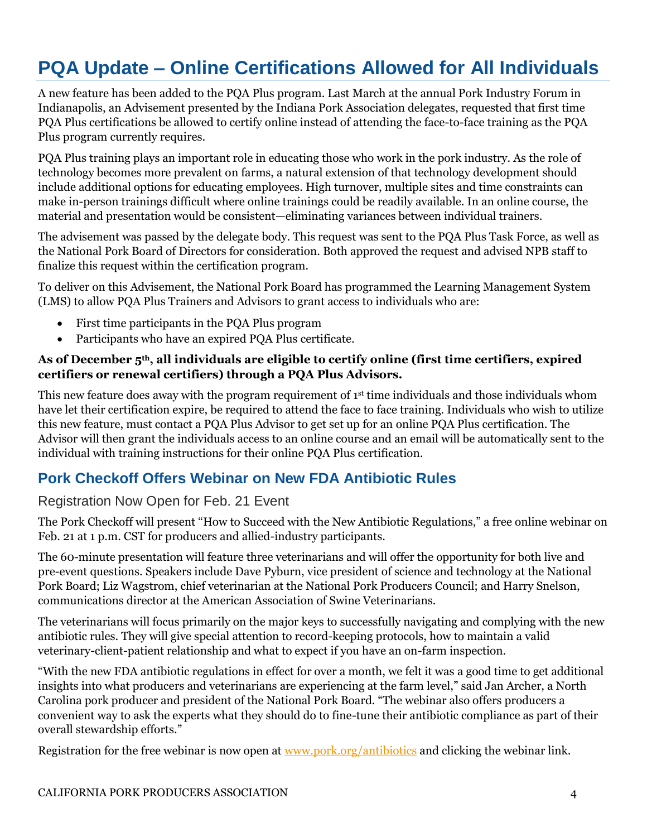# **PQA Update – Online Certifications Allowed for All Individuals**

A new feature has been added to the PQA Plus program. Last March at the annual Pork Industry Forum in Indianapolis, an Advisement presented by the Indiana Pork Association delegates, requested that first time PQA Plus certifications be allowed to certify online instead of attending the face-to-face training as the PQA Plus program currently requires.

PQA Plus training plays an important role in educating those who work in the pork industry. As the role of technology becomes more prevalent on farms, a natural extension of that technology development should include additional options for educating employees. High turnover, multiple sites and time constraints can make in-person trainings difficult where online trainings could be readily available. In an online course, the material and presentation would be consistent—eliminating variances between individual trainers.

The advisement was passed by the delegate body. This request was sent to the PQA Plus Task Force, as well as the National Pork Board of Directors for consideration. Both approved the request and advised NPB staff to finalize this request within the certification program.

To deliver on this Advisement, the National Pork Board has programmed the Learning Management System (LMS) to allow PQA Plus Trainers and Advisors to grant access to individuals who are:

- First time participants in the PQA Plus program
- Participants who have an expired PQA Plus certificate.

#### **As of December 5th, all individuals are eligible to certify online (first time certifiers, expired certifiers or renewal certifiers) through a PQA Plus Advisors.**

This new feature does away with the program requirement of 1<sup>st</sup> time individuals and those individuals whom have let their certification expire, be required to attend the face to face training. Individuals who wish to utilize this new feature, must contact a PQA Plus Advisor to get set up for an online PQA Plus certification. The Advisor will then grant the individuals access to an online course and an email will be automatically sent to the individual with training instructions for their online PQA Plus certification.

### **Pork Checkoff Offers Webinar on New FDA Antibiotic Rules**

#### Registration Now Open for Feb. 21 Event

The Pork Checkoff will present "How to Succeed with the New Antibiotic Regulations," a free online webinar on Feb. 21 at 1 p.m. CST for producers and allied-industry participants.

The 60-minute presentation will feature three veterinarians and will offer the opportunity for both live and pre-event questions. Speakers include Dave Pyburn, vice president of science and technology at the National Pork Board; Liz Wagstrom, chief veterinarian at the National Pork Producers Council; and Harry Snelson, communications director at the American Association of Swine Veterinarians.

The veterinarians will focus primarily on the major keys to successfully navigating and complying with the new antibiotic rules. They will give special attention to record-keeping protocols, how to maintain a valid veterinary-client-patient relationship and what to expect if you have an on-farm inspection.

"With the new FDA antibiotic regulations in effect for over a month, we felt it was a good time to get additional insights into what producers and veterinarians are experiencing at the farm level," said Jan Archer, a North Carolina pork producer and president of the National Pork Board. "The webinar also offers producers a convenient way to ask the experts what they should do to fine-tune their antibiotic compliance as part of their overall stewardship efforts."

Registration for the free webinar is now open at [www.pork.org/antibiotics](http://www.pork.org/antibiotics) and clicking the webinar link.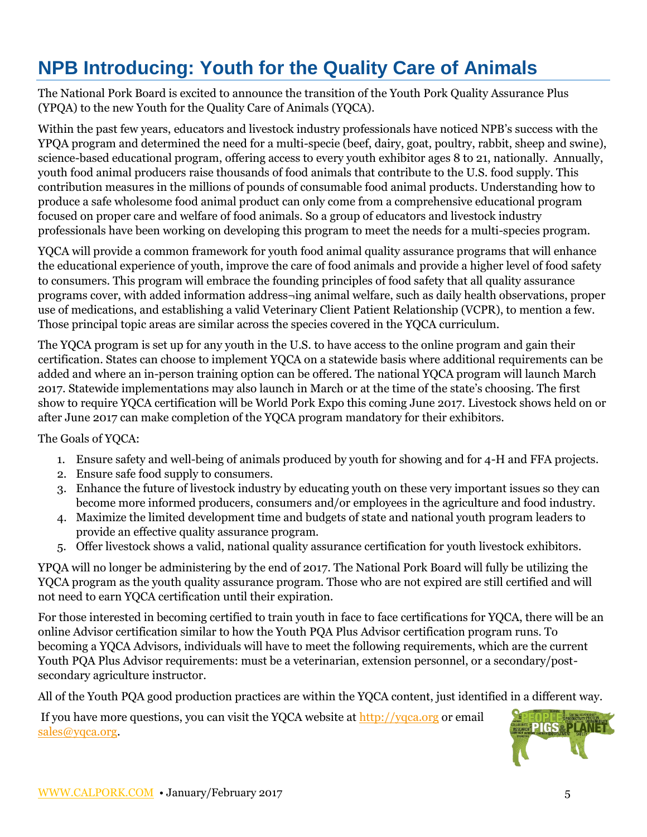# **NPB Introducing: Youth for the Quality Care of Animals**

The National Pork Board is excited to announce the transition of the Youth Pork Quality Assurance Plus (YPQA) to the new Youth for the Quality Care of Animals (YQCA).

Within the past few years, educators and livestock industry professionals have noticed NPB's success with the YPQA program and determined the need for a multi-specie (beef, dairy, goat, poultry, rabbit, sheep and swine), science-based educational program, offering access to every youth exhibitor ages 8 to 21, nationally. Annually, youth food animal producers raise thousands of food animals that contribute to the U.S. food supply. This contribution measures in the millions of pounds of consumable food animal products. Understanding how to produce a safe wholesome food animal product can only come from a comprehensive educational program focused on proper care and welfare of food animals. So a group of educators and livestock industry professionals have been working on developing this program to meet the needs for a multi-species program.

YQCA will provide a common framework for youth food animal quality assurance programs that will enhance the educational experience of youth, improve the care of food animals and provide a higher level of food safety to consumers. This program will embrace the founding principles of food safety that all quality assurance programs cover, with added information address¬ing animal welfare, such as daily health observations, proper use of medications, and establishing a valid Veterinary Client Patient Relationship (VCPR), to mention a few. Those principal topic areas are similar across the species covered in the YQCA curriculum.

The YQCA program is set up for any youth in the U.S. to have access to the online program and gain their certification. States can choose to implement YQCA on a statewide basis where additional requirements can be added and where an in-person training option can be offered. The national YQCA program will launch March 2017. Statewide implementations may also launch in March or at the time of the state's choosing. The first show to require YQCA certification will be World Pork Expo this coming June 2017. Livestock shows held on or after June 2017 can make completion of the YQCA program mandatory for their exhibitors.

The Goals of YQCA:

- 1. Ensure safety and well-being of animals produced by youth for showing and for 4-H and FFA projects.
- 2. Ensure safe food supply to consumers.
- 3. Enhance the future of livestock industry by educating youth on these very important issues so they can become more informed producers, consumers and/or employees in the agriculture and food industry.
- 4. Maximize the limited development time and budgets of state and national youth program leaders to provide an effective quality assurance program.
- 5. Offer livestock shows a valid, national quality assurance certification for youth livestock exhibitors.

YPQA will no longer be administering by the end of 2017. The National Pork Board will fully be utilizing the YQCA program as the youth quality assurance program. Those who are not expired are still certified and will not need to earn YQCA certification until their expiration.

For those interested in becoming certified to train youth in face to face certifications for YQCA, there will be an online Advisor certification similar to how the Youth PQA Plus Advisor certification program runs. To becoming a YQCA Advisors, individuals will have to meet the following requirements, which are the current Youth PQA Plus Advisor requirements: must be a veterinarian, extension personnel, or a secondary/postsecondary agriculture instructor.

All of the Youth PQA good production practices are within the YQCA content, just identified in a different way.

If you have more questions, you can visit the YQCA website at [http://yqca.org](http://yqca.org/) or email [sales@yqca.org.](mailto:sales@yqca.org)

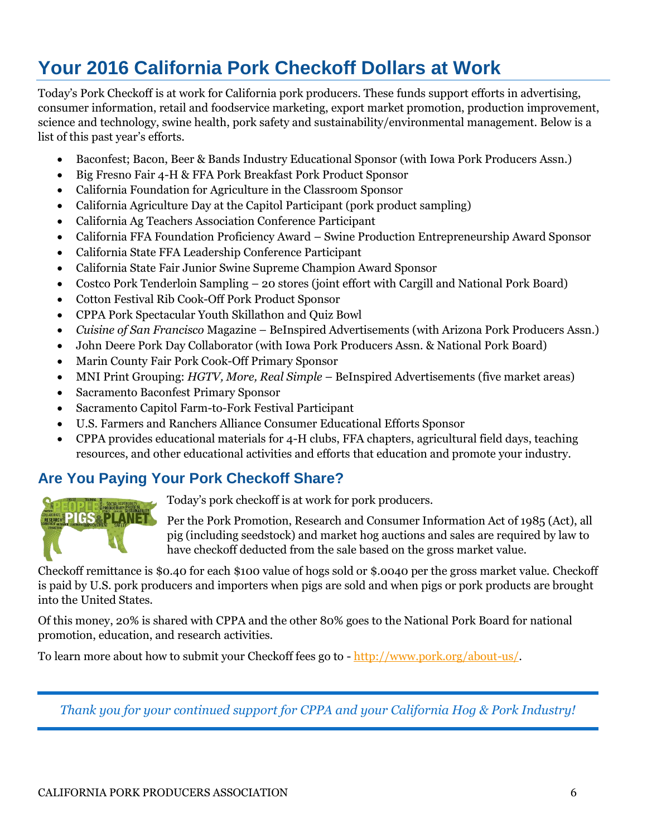# **Your 2016 California Pork Checkoff Dollars at Work**

Today's Pork Checkoff is at work for California pork producers. These funds support efforts in advertising, consumer information, retail and foodservice marketing, export market promotion, production improvement, science and technology, swine health, pork safety and sustainability/environmental management. Below is a list of this past year's efforts.

- Baconfest; Bacon, Beer & Bands Industry Educational Sponsor (with Iowa Pork Producers Assn.)
- Big Fresno Fair 4-H & FFA Pork Breakfast Pork Product Sponsor
- California Foundation for Agriculture in the Classroom Sponsor
- California Agriculture Day at the Capitol Participant (pork product sampling)
- California Ag Teachers Association Conference Participant
- California FFA Foundation Proficiency Award Swine Production Entrepreneurship Award Sponsor
- California State FFA Leadership Conference Participant
- California State Fair Junior Swine Supreme Champion Award Sponsor
- Costco Pork Tenderloin Sampling 20 stores (joint effort with Cargill and National Pork Board)
- Cotton Festival Rib Cook-Off Pork Product Sponsor
- CPPA Pork Spectacular Youth Skillathon and Quiz Bowl
- *Cuisine of San Francisco* Magazine BeInspired Advertisements (with Arizona Pork Producers Assn.)
- John Deere Pork Day Collaborator (with Iowa Pork Producers Assn. & National Pork Board)
- Marin County Fair Pork Cook-Off Primary Sponsor
- MNI Print Grouping: *HGTV, More, Real Simple* BeInspired Advertisements (five market areas)
- Sacramento Baconfest Primary Sponsor
- Sacramento Capitol Farm-to-Fork Festival Participant
- U.S. Farmers and Ranchers Alliance Consumer Educational Efforts Sponsor
- CPPA provides educational materials for 4-H clubs, FFA chapters, agricultural field days, teaching resources, and other educational activities and efforts that education and promote your industry.

### **Are You Paying Your Pork Checkoff Share?**



Today's pork checkoff is at work for pork producers.

Per the Pork Promotion, Research and Consumer Information Act of 1985 (Act), all pig (including seedstock) and market hog auctions and sales are required by law to have checkoff deducted from the sale based on the gross market value.

Checkoff remittance is \$0.40 for each \$100 value of hogs sold or \$.0040 per the gross market value. Checkoff is paid by U.S. pork producers and importers when pigs are sold and when pigs or pork products are brought into the United States.

Of this money, 20% is shared with CPPA and the other 80% goes to the National Pork Board for national promotion, education, and research activities.

To learn more about how to submit your Checkoff fees go to - [http://www.pork.org/about-us/.](http://www.pork.org/about-us/)

*Thank you for your continued support for CPPA and your California Hog & Pork Industry!*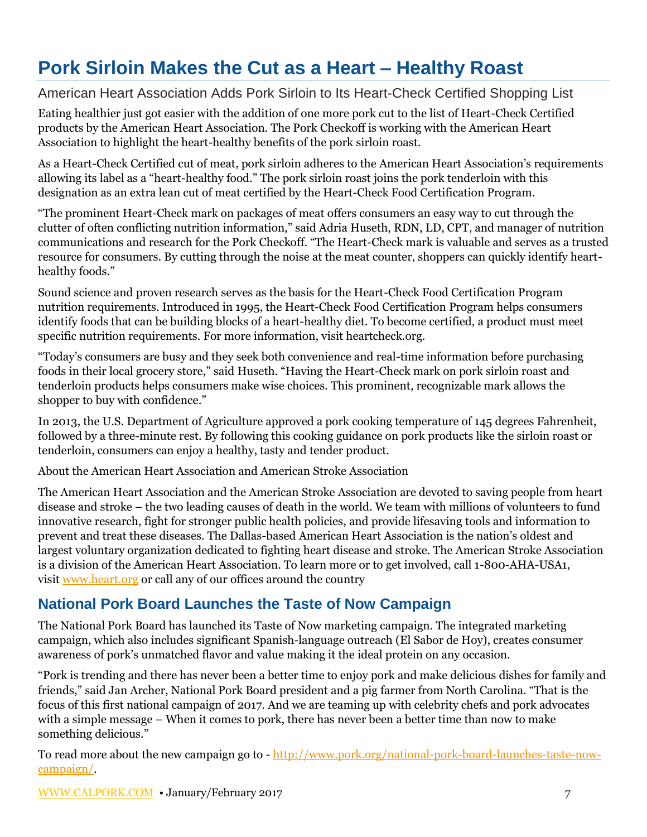# **Pork Sirloin Makes the Cut as a Heart – Healthy Roast**

#### American Heart Association Adds Pork Sirloin to Its Heart-Check Certified Shopping List

Eating healthier just got easier with the addition of one more pork cut to the list of Heart-Check Certified products by the American Heart Association. The Pork Checkoff is working with the American Heart Association to highlight the heart-healthy benefits of the pork sirloin roast.

As a Heart-Check Certified cut of meat, pork sirloin adheres to the American Heart Association's requirements allowing its label as a "heart-healthy food." The pork sirloin roast joins the pork tenderloin with this designation as an extra lean cut of meat certified by the Heart-Check Food Certification Program.

"The prominent Heart-Check mark on packages of meat offers consumers an easy way to cut through the clutter of often conflicting nutrition information," said Adria Huseth, RDN, LD, CPT, and manager of nutrition communications and research for the Pork Checkoff. "The Heart-Check mark is valuable and serves as a trusted resource for consumers. By cutting through the noise at the meat counter, shoppers can quickly identify hearthealthy foods."

Sound science and proven research serves as the basis for the Heart-Check Food Certification Program nutrition requirements. Introduced in 1995, the Heart-Check Food Certification Program helps consumers identify foods that can be building blocks of a heart-healthy diet. To become certified, a product must meet specific nutrition requirements. For more information, visit heartcheck.org.

"Today's consumers are busy and they seek both convenience and real-time information before purchasing foods in their local grocery store," said Huseth. "Having the Heart-Check mark on pork sirloin roast and tenderloin products helps consumers make wise choices. This prominent, recognizable mark allows the shopper to buy with confidence."

In 2013, the U.S. Department of Agriculture approved a pork cooking temperature of 145 degrees Fahrenheit, followed by a three-minute rest. By following this cooking guidance on pork products like the sirloin roast or tenderloin, consumers can enjoy a healthy, tasty and tender product.

About the American Heart Association and American Stroke Association

The American Heart Association and the American Stroke Association are devoted to saving people from heart disease and stroke – the two leading causes of death in the world. We team with millions of volunteers to fund innovative research, fight for stronger public health policies, and provide lifesaving tools and information to prevent and treat these diseases. The Dallas-based American Heart Association is the nation's oldest and largest voluntary organization dedicated to fighting heart disease and stroke. The American Stroke Association is a division of the American Heart Association. To learn more or to get involved, call 1-800-AHA-USA1, visit [www.heart.org](http://www.heart.org/) or call any of our offices around the country

### **National Pork Board Launches the Taste of Now Campaign**

The National Pork Board has launched its Taste of Now marketing campaign. The integrated marketing campaign, which also includes significant Spanish-language outreach (El Sabor de Hoy), creates consumer awareness of pork's unmatched flavor and value making it the ideal protein on any occasion.

"Pork is trending and there has never been a better time to enjoy pork and make delicious dishes for family and friends," said Jan Archer, National Pork Board president and a pig farmer from North Carolina. "That is the focus of this first national campaign of 2017. And we are teaming up with celebrity chefs and pork advocates with a simple message – When it comes to pork, there has never been a better time than now to make something delicious."

To read more about the new campaign go to - [http://www.pork.org/national-pork-board-launches-taste-now](http://www.pork.org/national-pork-board-launches-taste-now-campaign/)[campaign/.](http://www.pork.org/national-pork-board-launches-taste-now-campaign/)

[WWW.CALPORK.COM](http://www.calpork.com/) • January/February 2017 7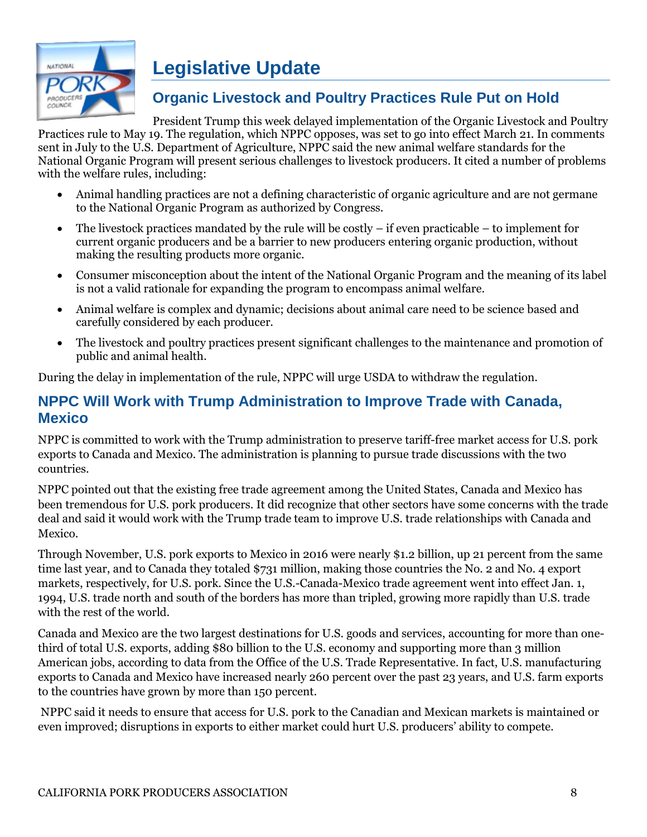

# **Legislative Update**

### **Organic Livestock and Poultry Practices Rule Put on Hold**

President Trump this week delayed implementation of the Organic Livestock and Poultry Practices rule to May 19. The regulation, which NPPC opposes, was set to go into effect March 21. In comments sent in July to the U.S. Department of Agriculture, NPPC said the new animal welfare standards for the National Organic Program will present serious challenges to livestock producers. It cited a number of problems with the welfare rules, including:

- Animal handling practices are not a defining characteristic of organic agriculture and are not germane to the National Organic Program as authorized by Congress.
- $\bullet$  The livestock practices mandated by the rule will be costly if even practicable to implement for current organic producers and be a barrier to new producers entering organic production, without making the resulting products more organic.
- Consumer misconception about the intent of the National Organic Program and the meaning of its label is not a valid rationale for expanding the program to encompass animal welfare.
- Animal welfare is complex and dynamic; decisions about animal care need to be science based and carefully considered by each producer.
- The livestock and poultry practices present significant challenges to the maintenance and promotion of public and animal health.

During the delay in implementation of the rule, NPPC will urge USDA to withdraw the regulation.

### **NPPC Will Work with Trump Administration to Improve Trade with Canada, Mexico**

NPPC is committed to work with the Trump administration to preserve tariff-free market access for U.S. pork exports to Canada and Mexico. The administration is planning to pursue trade discussions with the two countries.

NPPC pointed out that the existing free trade agreement among the United States, Canada and Mexico has been tremendous for U.S. pork producers. It did recognize that other sectors have some concerns with the trade deal and said it would work with the Trump trade team to improve U.S. trade relationships with Canada and Mexico.

Through November, U.S. pork exports to Mexico in 2016 were nearly \$1.2 billion, up 21 percent from the same time last year, and to Canada they totaled \$731 million, making those countries the No. 2 and No. 4 export markets, respectively, for U.S. pork. Since the U.S.-Canada-Mexico trade agreement went into effect Jan. 1, 1994, U.S. trade north and south of the borders has more than tripled, growing more rapidly than U.S. trade with the rest of the world.

Canada and Mexico are the two largest destinations for U.S. goods and services, accounting for more than onethird of total U.S. exports, adding \$80 billion to the U.S. economy and supporting more than 3 million American jobs, according to data from the Office of the U.S. Trade Representative. In fact, U.S. manufacturing exports to Canada and Mexico have increased nearly 260 percent over the past 23 years, and U.S. farm exports to the countries have grown by more than 150 percent.

NPPC said it needs to ensure that access for U.S. pork to the Canadian and Mexican markets is maintained or even improved; disruptions in exports to either market could hurt U.S. producers' ability to compete.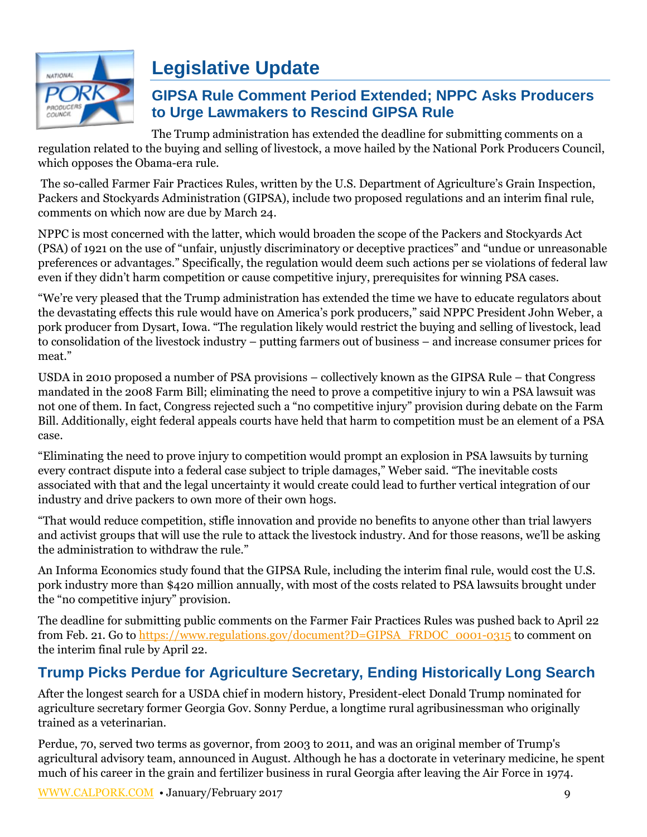

# **Legislative Update**

### **GIPSA Rule Comment Period Extended; NPPC Asks Producers to Urge Lawmakers to Rescind GIPSA Rule**

The Trump administration has extended the deadline for submitting comments on a regulation related to the buying and selling of livestock, a move hailed by the National Pork Producers Council, which opposes the Obama-era rule.

The so-called Farmer Fair Practices Rules, written by the U.S. Department of Agriculture's Grain Inspection, Packers and Stockyards Administration (GIPSA), include two proposed regulations and an interim final rule, comments on which now are due by March 24.

NPPC is most concerned with the latter, which would broaden the scope of the Packers and Stockyards Act (PSA) of 1921 on the use of "unfair, unjustly discriminatory or deceptive practices" and "undue or unreasonable preferences or advantages." Specifically, the regulation would deem such actions per se violations of federal law even if they didn't harm competition or cause competitive injury, prerequisites for winning PSA cases.

"We're very pleased that the Trump administration has extended the time we have to educate regulators about the devastating effects this rule would have on America's pork producers," said NPPC President John Weber, a pork producer from Dysart, Iowa. "The regulation likely would restrict the buying and selling of livestock, lead to consolidation of the livestock industry – putting farmers out of business – and increase consumer prices for meat."

USDA in 2010 proposed a number of PSA provisions – collectively known as the GIPSA Rule – that Congress mandated in the 2008 Farm Bill; eliminating the need to prove a competitive injury to win a PSA lawsuit was not one of them. In fact, Congress rejected such a "no competitive injury" provision during debate on the Farm Bill. Additionally, eight federal appeals courts have held that harm to competition must be an element of a PSA case.

"Eliminating the need to prove injury to competition would prompt an explosion in PSA lawsuits by turning every contract dispute into a federal case subject to triple damages," Weber said. "The inevitable costs associated with that and the legal uncertainty it would create could lead to further vertical integration of our industry and drive packers to own more of their own hogs.

"That would reduce competition, stifle innovation and provide no benefits to anyone other than trial lawyers and activist groups that will use the rule to attack the livestock industry. And for those reasons, we'll be asking the administration to withdraw the rule."

An Informa Economics study found that the GIPSA Rule, including the interim final rule, would cost the U.S. pork industry more than \$420 million annually, with most of the costs related to PSA lawsuits brought under the "no competitive injury" provision.

The deadline for submitting public comments on the Farmer Fair Practices Rules was pushed back to April 22 from Feb. 21. Go to https://www.regulations.gov/document?D=GIPSA\_FRDOC\_0001-0315 to comment on the interim final rule by April 22.

# **Trump Picks Perdue for Agriculture Secretary, Ending Historically Long Search**

After the longest search for a USDA chief in modern history, President-elect Donald Trump nominated for agriculture secretary former Georgia Gov. Sonny Perdue, a longtime rural agribusinessman who originally trained as a veterinarian.

Perdue, 70, served two terms as governor, from 2003 to 2011, and was an original member of Trump's agricultural advisory team, announced in August. Although he has a doctorate in veterinary medicine, he spent much of his career in the grain and fertilizer business in rural Georgia after leaving the Air Force in 1974.

[WWW.CALPORK.COM](http://www.calpork.com/) • January/February 2017 9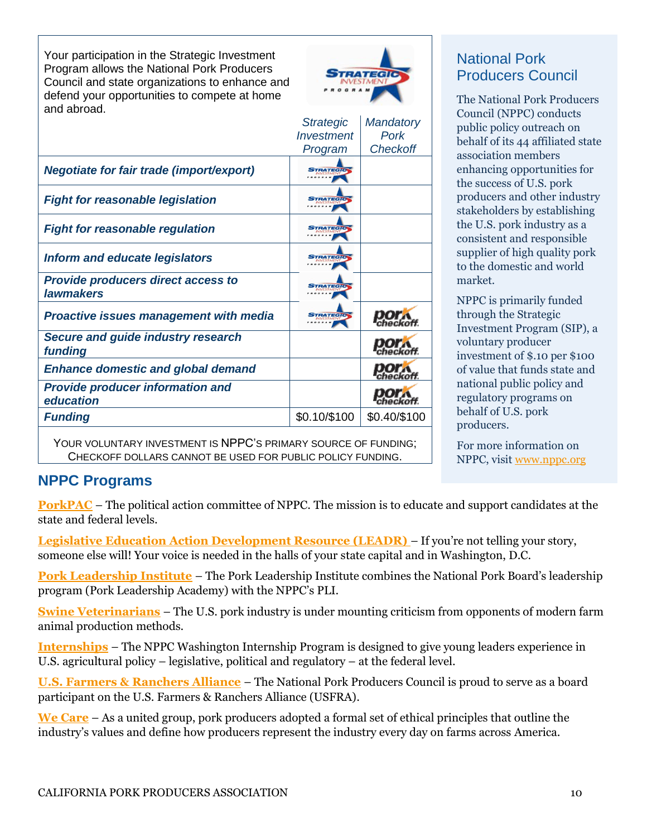Your participation in the Strategic Investment Program allows the National Pork Producers Council and state organizations to enhance and defend your opportunities to compete at home and abroad.



| anu abibau.                                                   |                        |                  |
|---------------------------------------------------------------|------------------------|------------------|
|                                                               | <b>Strategic</b>       | <b>Mandatory</b> |
|                                                               | <b>Investment</b>      | Pork             |
|                                                               | Program                | <b>Checkoff</b>  |
|                                                               |                        |                  |
| <b>Negotiate for fair trade (import/export)</b>               | <b>STRATEGIC</b>       |                  |
| <b>Fight for reasonable legislation</b>                       | <b>TRATEGIC</b>        |                  |
| <b>Fight for reasonable regulation</b>                        | <b>STRATEGIL</b>       |                  |
| <b>Inform and educate legislators</b>                         | <b>TRATEGIO</b>        |                  |
| <b>Provide producers direct access to</b><br><b>lawmakers</b> | <b>TRATEGIC</b>        |                  |
| <b>Proactive issues management with media</b>                 | <b><i>TRATEGIC</i></b> |                  |
| <b>Secure and guide industry research</b><br>funding          |                        |                  |
| <b>Enhance domestic and global demand</b>                     |                        |                  |
| <b>Provide producer information and</b><br>education          |                        |                  |
| <b>Funding</b>                                                | \$0.10/\$100           | \$0.40/\$100     |
|                                                               |                        |                  |

YOUR VOLUNTARY INVESTMENT IS NPPC'S PRIMARY SOURCE OF FUNDING; CHECKOFF DOLLARS CANNOT BE USED FOR PUBLIC POLICY FUNDING.

## National Pork Producers Council

The National Pork Producers Council (NPPC) conducts public policy outreach on behalf of its 44 affiliated state association members enhancing opportunities for the success of U.S. pork producers and other industry stakeholders by establishing the U.S. pork industry as a consistent and responsible supplier of high quality pork to the domestic and world market.

NPPC is primarily funded through the Strategic Investment Program (SIP), a voluntary producer investment of \$.10 per \$100 of value that funds state and national public policy and regulatory programs on behalf of U.S. pork producers.

For more information on NPPC, visit [www.nppc.org](http://www.nppc.org/)

### **NPPC Programs**

**[PorkPAC](http://nppc.org/programs/pork-pac/)** – The political action committee of NPPC. The mission is to educate and support candidates at the state and federal levels.

**Legislative Education Action Development Resource (LEADR)** – If you're not telling your story, someone else will! Your voice is needed in the halls of your state capital and in Washington, D.C.

**[Pork Leadership Institute](http://nppc.org/programs/pork-leadership-institute/)** – The Pork Leadership Institute combines the National Pork Board's leadership program (Pork Leadership Academy) with the NPPC's PLI.

**[Swine Veterinarians](http://nppc.org/programs/sine-veterinary-public-policy-advocacy/)** – The U.S. pork industry is under mounting criticism from opponents of modern farm animal production methods.

**[Internships](http://nppc.org/internship-opportunities/)** – The NPPC Washington Internship Program is designed to give young leaders experience in U.S. agricultural policy – legislative, political and regulatory – at the federal level.

**[U.S. Farmers & Ranchers Alliance](http://www.fooddialogues.com/)** – The National Pork Producers Council is proud to serve as a board participant on the U.S. Farmers & Ranchers Alliance (USFRA).

**[We Care](http://nppc.org/about-us/we-care/)** – As a united group, pork producers adopted a formal set of ethical principles that outline the industry's values and define how producers represent the industry every day on farms across America.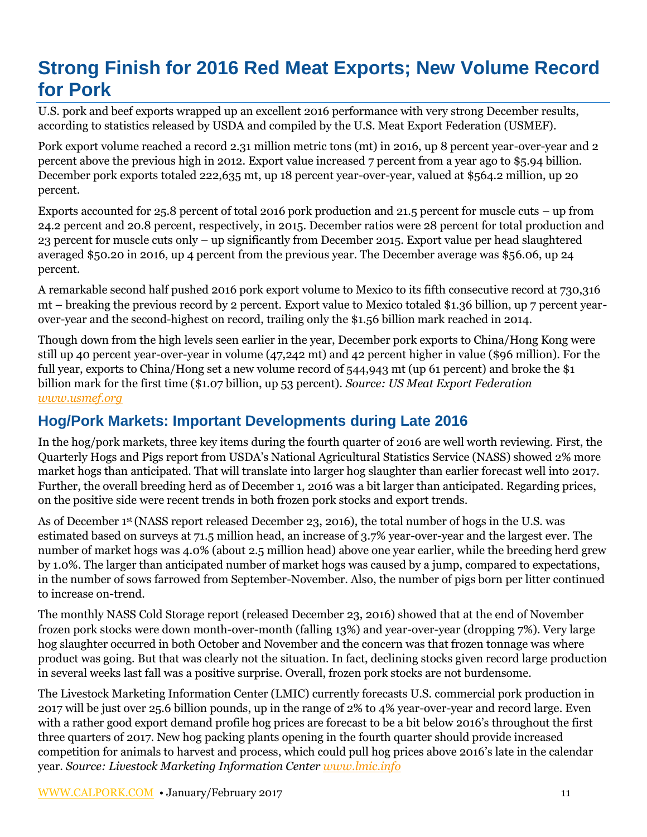# **Strong Finish for 2016 Red Meat Exports; New Volume Record for Pork**

U.S. pork and beef exports wrapped up an excellent 2016 performance with very strong December results, according to statistics released by USDA and compiled by the U.S. Meat Export Federation (USMEF).

Pork export volume reached a record 2.31 million metric tons (mt) in 2016, up 8 percent year-over-year and 2 percent above the previous high in 2012. Export value increased 7 percent from a year ago to \$5.94 billion. December pork exports totaled 222,635 mt, up 18 percent year-over-year, valued at \$564.2 million, up 20 percent.

Exports accounted for 25.8 percent of total 2016 pork production and 21.5 percent for muscle cuts – up from 24.2 percent and 20.8 percent, respectively, in 2015. December ratios were 28 percent for total production and 23 percent for muscle cuts only – up significantly from December 2015. Export value per head slaughtered averaged \$50.20 in 2016, up 4 percent from the previous year. The December average was \$56.06, up 24 percent.

A remarkable second half pushed 2016 pork export volume to Mexico to its fifth consecutive record at 730,316 mt – breaking the previous record by 2 percent. Export value to Mexico totaled \$1.36 billion, up 7 percent yearover-year and the second-highest on record, trailing only the \$1.56 billion mark reached in 2014.

Though down from the high levels seen earlier in the year, December pork exports to China/Hong Kong were still up 40 percent year-over-year in volume (47,242 mt) and 42 percent higher in value (\$96 million). For the full year, exports to China/Hong set a new volume record of 544,943 mt (up 61 percent) and broke the \$1 billion mark for the first time (\$1.07 billion, up 53 percent). *Source: US Meat Export Federation [www.usmef.org](http://www.usmef.org/)*

### **Hog/Pork Markets: Important Developments during Late 2016**

In the hog/pork markets, three key items during the fourth quarter of 2016 are well worth reviewing. First, the Quarterly Hogs and Pigs report from USDA's National Agricultural Statistics Service (NASS) showed 2% more market hogs than anticipated. That will translate into larger hog slaughter than earlier forecast well into 2017. Further, the overall breeding herd as of December 1, 2016 was a bit larger than anticipated. Regarding prices, on the positive side were recent trends in both frozen pork stocks and export trends.

As of December 1st (NASS report released December 23, 2016), the total number of hogs in the U.S. was estimated based on surveys at 71.5 million head, an increase of 3.7% year-over-year and the largest ever. The number of market hogs was 4.0% (about 2.5 million head) above one year earlier, while the breeding herd grew by 1.0%. The larger than anticipated number of market hogs was caused by a jump, compared to expectations, in the number of sows farrowed from September-November. Also, the number of pigs born per litter continued to increase on-trend.

The monthly NASS Cold Storage report (released December 23, 2016) showed that at the end of November frozen pork stocks were down month-over-month (falling 13%) and year-over-year (dropping 7%). Very large hog slaughter occurred in both October and November and the concern was that frozen tonnage was where product was going. But that was clearly not the situation. In fact, declining stocks given record large production in several weeks last fall was a positive surprise. Overall, frozen pork stocks are not burdensome.

The Livestock Marketing Information Center (LMIC) currently forecasts U.S. commercial pork production in 2017 will be just over 25.6 billion pounds, up in the range of 2% to 4% year-over-year and record large. Even with a rather good export demand profile hog prices are forecast to be a bit below 2016's throughout the first three quarters of 2017. New hog packing plants opening in the fourth quarter should provide increased competition for animals to harvest and process, which could pull hog prices above 2016's late in the calendar year. *Source: Livestock Marketing Information Center [www.lmic.info](http://www.lmic.info/)*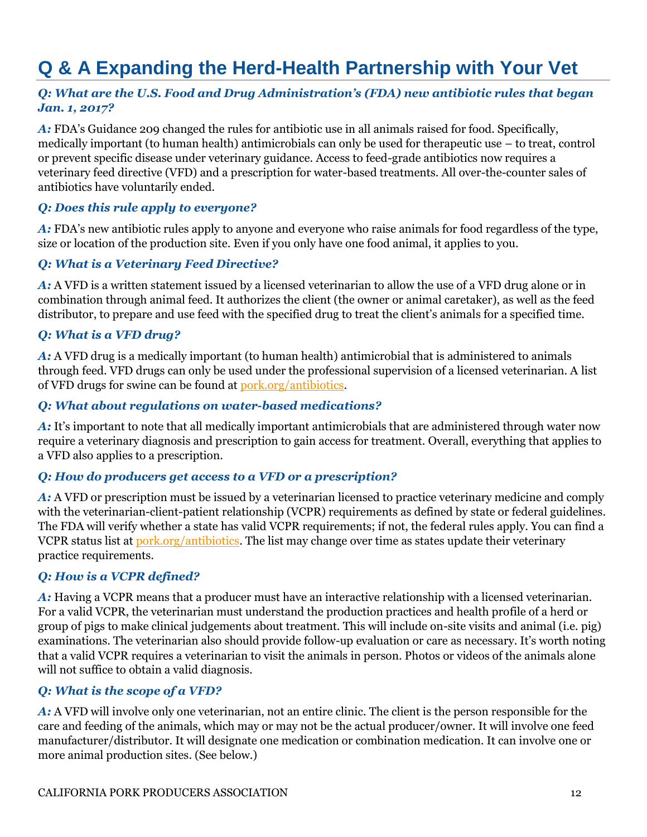# **Q & A Expanding the Herd-Health Partnership with Your Vet**

#### *Q: What are the U.S. Food and Drug Administration's (FDA) new antibiotic rules that began Jan. 1, 2017?*

*A:* FDA's Guidance 209 changed the rules for antibiotic use in all animals raised for food. Specifically, medically important (to human health) antimicrobials can only be used for therapeutic use – to treat, control or prevent specific disease under veterinary guidance. Access to feed-grade antibiotics now requires a veterinary feed directive (VFD) and a prescription for water-based treatments. All over-the-counter sales of antibiotics have voluntarily ended.

#### *Q: Does this rule apply to everyone?*

*A:* FDA's new antibiotic rules apply to anyone and everyone who raise animals for food regardless of the type, size or location of the production site. Even if you only have one food animal, it applies to you.

#### *Q: What is a Veterinary Feed Directive?*

*A:* A VFD is a written statement issued by a licensed veterinarian to allow the use of a VFD drug alone or in combination through animal feed. It authorizes the client (the owner or animal caretaker), as well as the feed distributor, to prepare and use feed with the specified drug to treat the client's animals for a specified time.

#### *Q: What is a VFD drug?*

*A:* A VFD drug is a medically important (to human health) antimicrobial that is administered to animals through feed. VFD drugs can only be used under the professional supervision of a licensed veterinarian. A list of VFD drugs for swine can be found at [pork.org/antibiotics.](http://www.pork.org/antibiotics)

#### *Q: What about regulations on water-based medications?*

*A:* It's important to note that all medically important antimicrobials that are administered through water now require a veterinary diagnosis and prescription to gain access for treatment. Overall, everything that applies to a VFD also applies to a prescription.

#### *Q: How do producers get access to a VFD or a prescription?*

*A:* A VFD or prescription must be issued by a veterinarian licensed to practice veterinary medicine and comply with the veterinarian-client-patient relationship (VCPR) requirements as defined by state or federal guidelines. The FDA will verify whether a state has valid VCPR requirements; if not, the federal rules apply. You can find a VCPR status list a[t pork.org/antibiotics.](http://www.pork.org/production-topics/antibiotics-resource-center/) The list may change over time as states update their veterinary practice requirements.

#### *Q: How is a VCPR defined?*

A: Having a VCPR means that a producer must have an interactive relationship with a licensed veterinarian. For a valid VCPR, the veterinarian must understand the production practices and health profile of a herd or group of pigs to make clinical judgements about treatment. This will include on-site visits and animal (i.e. pig) examinations. The veterinarian also should provide follow-up evaluation or care as necessary. It's worth noting that a valid VCPR requires a veterinarian to visit the animals in person. Photos or videos of the animals alone will not suffice to obtain a valid diagnosis.

#### *Q: What is the scope of a VFD?*

*A:* A VFD will involve only one veterinarian, not an entire clinic. The client is the person responsible for the care and feeding of the animals, which may or may not be the actual producer/owner. It will involve one feed manufacturer/distributor. It will designate one medication or combination medication. It can involve one or more animal production sites. (See below.)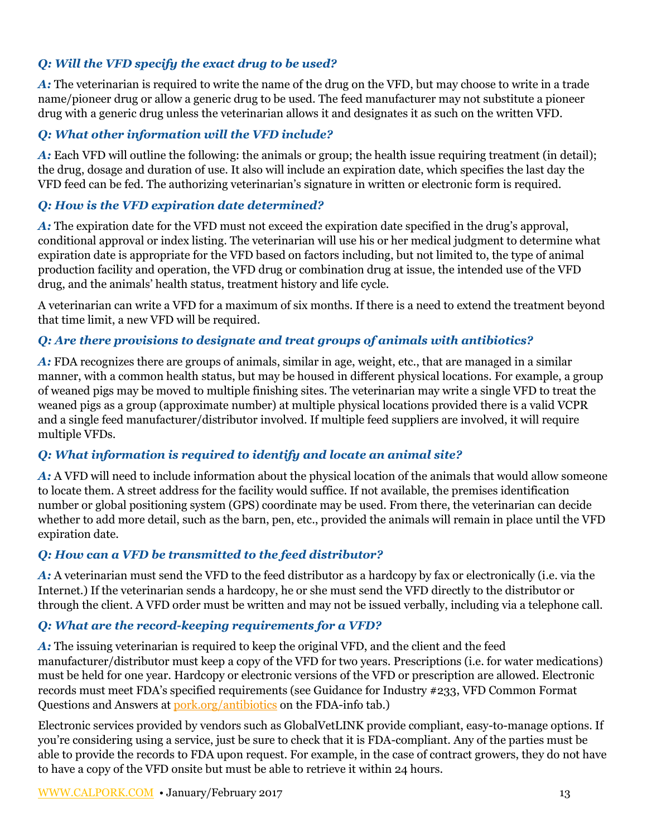#### *Q: Will the VFD specify the exact drug to be used?*

*A:* The veterinarian is required to write the name of the drug on the VFD, but may choose to write in a trade name/pioneer drug or allow a generic drug to be used. The feed manufacturer may not substitute a pioneer drug with a generic drug unless the veterinarian allows it and designates it as such on the written VFD.

#### *Q: What other information will the VFD include?*

*A:* Each VFD will outline the following: the animals or group; the health issue requiring treatment (in detail); the drug, dosage and duration of use. It also will include an expiration date, which specifies the last day the VFD feed can be fed. The authorizing veterinarian's signature in written or electronic form is required.

#### *Q: How is the VFD expiration date determined?*

*A*: The expiration date for the VFD must not exceed the expiration date specified in the drug's approval, conditional approval or index listing. The veterinarian will use his or her medical judgment to determine what expiration date is appropriate for the VFD based on factors including, but not limited to, the type of animal production facility and operation, the VFD drug or combination drug at issue, the intended use of the VFD drug, and the animals' health status, treatment history and life cycle.

A veterinarian can write a VFD for a maximum of six months. If there is a need to extend the treatment beyond that time limit, a new VFD will be required.

#### *Q: Are there provisions to designate and treat groups of animals with antibiotics?*

*A:* FDA recognizes there are groups of animals, similar in age, weight, etc., that are managed in a similar manner, with a common health status, but may be housed in different physical locations. For example, a group of weaned pigs may be moved to multiple finishing sites. The veterinarian may write a single VFD to treat the weaned pigs as a group (approximate number) at multiple physical locations provided there is a valid VCPR and a single feed manufacturer/distributor involved. If multiple feed suppliers are involved, it will require multiple VFDs.

#### *Q: What information is required to identify and locate an animal site?*

*A:* A VFD will need to include information about the physical location of the animals that would allow someone to locate them. A street address for the facility would suffice. If not available, the premises identification number or global positioning system (GPS) coordinate may be used. From there, the veterinarian can decide whether to add more detail, such as the barn, pen, etc., provided the animals will remain in place until the VFD expiration date.

#### *Q: How can a VFD be transmitted to the feed distributor?*

*A:* A veterinarian must send the VFD to the feed distributor as a hardcopy by fax or electronically (i.e. via the Internet.) If the veterinarian sends a hardcopy, he or she must send the VFD directly to the distributor or through the client. A VFD order must be written and may not be issued verbally, including via a telephone call.

#### *Q: What are the record-keeping requirements for a VFD?*

*A:* The issuing veterinarian is required to keep the original VFD, and the client and the feed manufacturer/distributor must keep a copy of the VFD for two years. Prescriptions (i.e. for water medications) must be held for one year. Hardcopy or electronic versions of the VFD or prescription are allowed. Electronic records must meet FDA's specified requirements (see Guidance for Industry #233, VFD Common Format Questions and Answers at [pork.org/antibiotics](http://pork.org/antibiotics) on the FDA-info tab.)

Electronic services provided by vendors such as GlobalVetLINK provide compliant, easy-to-manage options. If you're considering using a service, just be sure to check that it is FDA-compliant. Any of the parties must be able to provide the records to FDA upon request. For example, in the case of contract growers, they do not have to have a copy of the VFD onsite but must be able to retrieve it within 24 hours.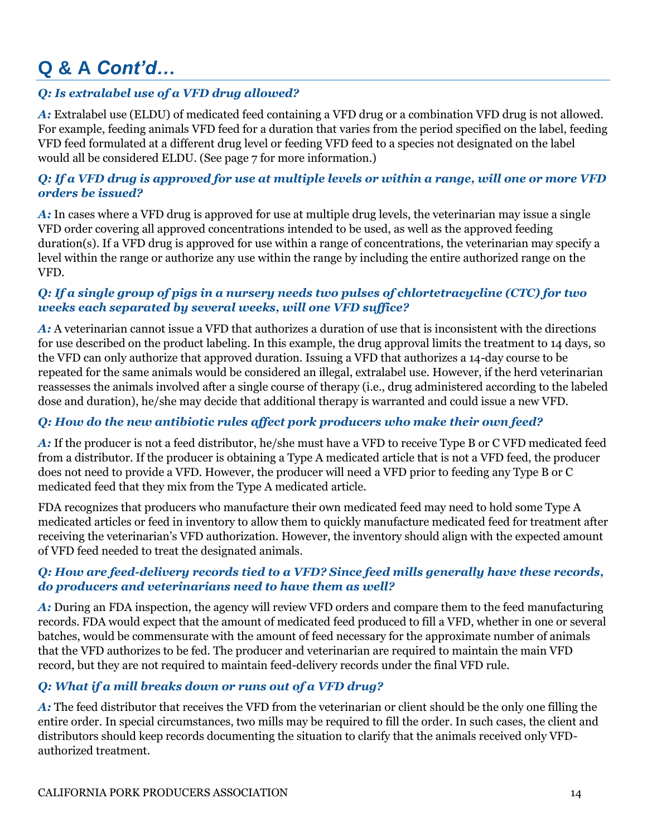# **Q & A** *Cont'd…*

#### *Q: Is extralabel use of a VFD drug allowed?*

*A:* Extralabel use (ELDU) of medicated feed containing a VFD drug or a combination VFD drug is not allowed. For example, feeding animals VFD feed for a duration that varies from the period specified on the label, feeding VFD feed formulated at a different drug level or feeding VFD feed to a species not designated on the label would all be considered ELDU. (See page 7 for more information.)

#### *Q: If a VFD drug is approved for use at multiple levels or within a range, will one or more VFD orders be issued?*

*A:* In cases where a VFD drug is approved for use at multiple drug levels, the veterinarian may issue a single VFD order covering all approved concentrations intended to be used, as well as the approved feeding duration(s). If a VFD drug is approved for use within a range of concentrations, the veterinarian may specify a level within the range or authorize any use within the range by including the entire authorized range on the VFD.

#### *Q: If a single group of pigs in a nursery needs two pulses of chlortetracycline (CTC) for two weeks each separated by several weeks, will one VFD suffice?*

*A:* A veterinarian cannot issue a VFD that authorizes a duration of use that is inconsistent with the directions for use described on the product labeling. In this example, the drug approval limits the treatment to 14 days, so the VFD can only authorize that approved duration. Issuing a VFD that authorizes a 14-day course to be repeated for the same animals would be considered an illegal, extralabel use. However, if the herd veterinarian reassesses the animals involved after a single course of therapy (i.e., drug administered according to the labeled dose and duration), he/she may decide that additional therapy is warranted and could issue a new VFD.

#### *Q: How do the new antibiotic rules affect pork producers who make their own feed?*

*A:* If the producer is not a feed distributor, he/she must have a VFD to receive Type B or C VFD medicated feed from a distributor. If the producer is obtaining a Type A medicated article that is not a VFD feed, the producer does not need to provide a VFD. However, the producer will need a VFD prior to feeding any Type B or C medicated feed that they mix from the Type A medicated article.

FDA recognizes that producers who manufacture their own medicated feed may need to hold some Type A medicated articles or feed in inventory to allow them to quickly manufacture medicated feed for treatment after receiving the veterinarian's VFD authorization. However, the inventory should align with the expected amount of VFD feed needed to treat the designated animals.

#### *Q: How are feed-delivery records tied to a VFD? Since feed mills generally have these records, do producers and veterinarians need to have them as well?*

*A:* During an FDA inspection, the agency will review VFD orders and compare them to the feed manufacturing records. FDA would expect that the amount of medicated feed produced to fill a VFD, whether in one or several batches, would be commensurate with the amount of feed necessary for the approximate number of animals that the VFD authorizes to be fed. The producer and veterinarian are required to maintain the main VFD record, but they are not required to maintain feed-delivery records under the final VFD rule.

#### *Q: What if a mill breaks down or runs out of a VFD drug?*

*A:* The feed distributor that receives the VFD from the veterinarian or client should be the only one filling the entire order. In special circumstances, two mills may be required to fill the order. In such cases, the client and distributors should keep records documenting the situation to clarify that the animals received only VFDauthorized treatment.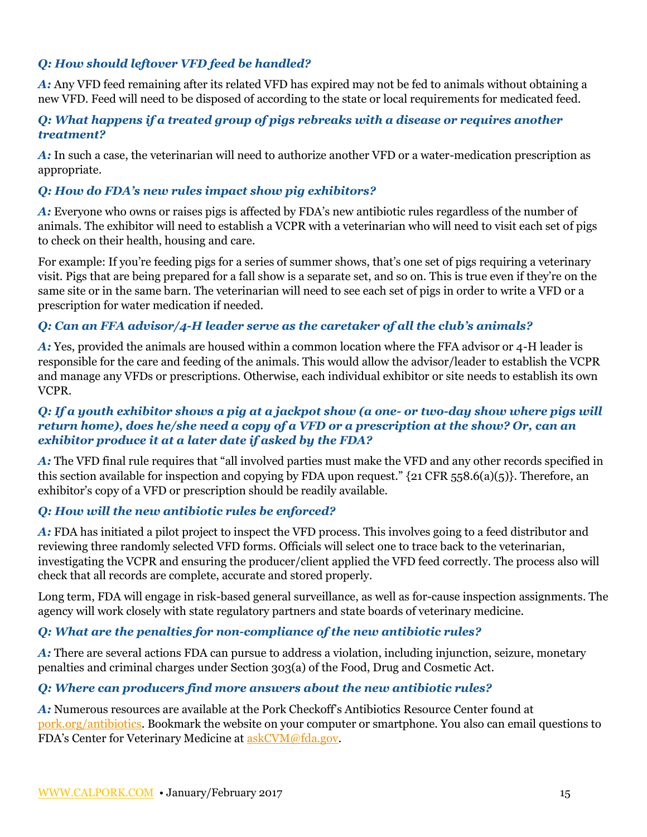#### *Q: How should leftover VFD feed be handled?*

*A:* Any VFD feed remaining after its related VFD has expired may not be fed to animals without obtaining a new VFD. Feed will need to be disposed of according to the state or local requirements for medicated feed.

#### *Q: What happens if a treated group of pigs rebreaks with a disease or requires another treatment?*

*A:* In such a case, the veterinarian will need to authorize another VFD or a water-medication prescription as appropriate.

#### *Q: How do FDA's new rules impact show pig exhibitors?*

*A:* Everyone who owns or raises pigs is affected by FDA's new antibiotic rules regardless of the number of animals. The exhibitor will need to establish a VCPR with a veterinarian who will need to visit each set of pigs to check on their health, housing and care.

For example: If you're feeding pigs for a series of summer shows, that's one set of pigs requiring a veterinary visit. Pigs that are being prepared for a fall show is a separate set, and so on. This is true even if they're on the same site or in the same barn. The veterinarian will need to see each set of pigs in order to write a VFD or a prescription for water medication if needed.

#### *Q: Can an FFA advisor/4-H leader serve as the caretaker of all the club's animals?*

*A:* Yes, provided the animals are housed within a common location where the FFA advisor or 4-H leader is responsible for the care and feeding of the animals. This would allow the advisor/leader to establish the VCPR and manage any VFDs or prescriptions. Otherwise, each individual exhibitor or site needs to establish its own VCPR.

#### *Q: If a youth exhibitor shows a pig at a jackpot show (a one- or two-day show where pigs will return home), does he/she need a copy of a VFD or a prescription at the show? Or, can an exhibitor produce it at a later date if asked by the FDA?*

*A:* The VFD final rule requires that "all involved parties must make the VFD and any other records specified in this section available for inspection and copying by FDA upon request." {21 CFR 558.6(a)(5)}. Therefore, an exhibitor's copy of a VFD or prescription should be readily available.

#### *Q: How will the new antibiotic rules be enforced?*

*A:* FDA has initiated a pilot project to inspect the VFD process. This involves going to a feed distributor and reviewing three randomly selected VFD forms. Officials will select one to trace back to the veterinarian, investigating the VCPR and ensuring the producer/client applied the VFD feed correctly. The process also will check that all records are complete, accurate and stored properly.

Long term, FDA will engage in risk-based general surveillance, as well as for-cause inspection assignments. The agency will work closely with state regulatory partners and state boards of veterinary medicine.

#### *Q: What are the penalties for non-compliance of the new antibiotic rules?*

*A:* There are several actions FDA can pursue to address a violation, including injunction, seizure, monetary penalties and criminal charges under Section 303(a) of the Food, Drug and Cosmetic Act.

#### *Q: Where can producers find more answers about the new antibiotic rules?*

*A:* Numerous resources are available at the Pork Checkoff's Antibiotics Resource Center found at [pork.org/antibiotics.](http://pork.org/antibiotics) Bookmark the website on your computer or smartphone. You also can email questions to FDA's Center for Veterinary Medicine at [askCVM@fda.gov.](mailto:askCVM@fda.gov)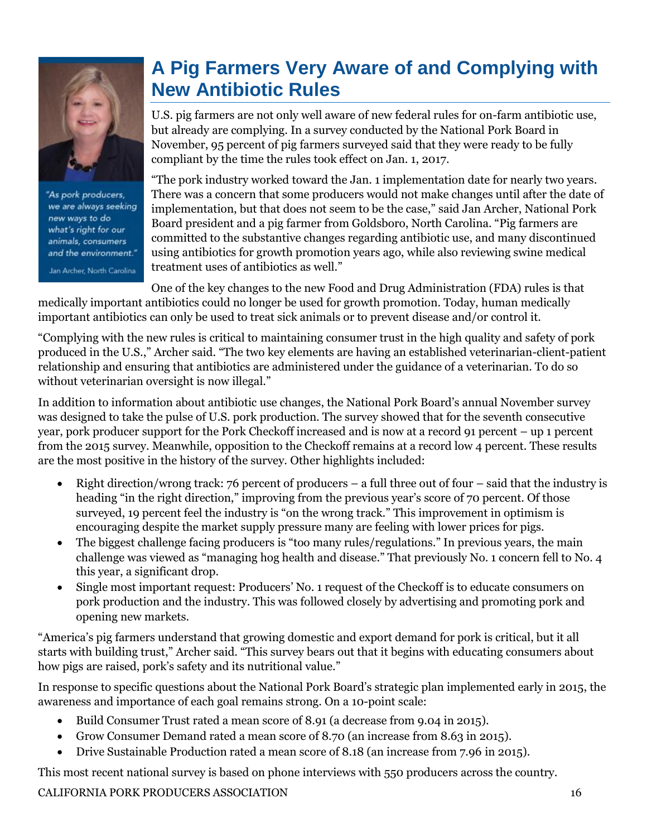

"As pork producers, we are always seeking new ways to do what's right for our animals, consumers and the environment." Jan Archer, North Carolina

# **A Pig Farmers Very Aware of and Complying with New Antibiotic Rules**

U.S. pig farmers are not only well aware of new federal rules for on-farm antibiotic use, but already are complying. In a survey conducted by the National Pork Board in November, 95 percent of pig farmers surveyed said that they were ready to be fully compliant by the time the rules took effect on Jan. 1, 2017.

"The pork industry worked toward the Jan. 1 implementation date for nearly two years. There was a concern that some producers would not make changes until after the date of implementation, but that does not seem to be the case," said Jan Archer, National Pork Board president and a pig farmer from Goldsboro, North Carolina. "Pig farmers are committed to the substantive changes regarding antibiotic use, and many discontinued using antibiotics for growth promotion years ago, while also reviewing swine medical treatment uses of antibiotics as well."

One of the key changes to the new Food and Drug Administration (FDA) rules is that medically important antibiotics could no longer be used for growth promotion. Today, human medically important antibiotics can only be used to treat sick animals or to prevent disease and/or control it.

"Complying with the new rules is critical to maintaining consumer trust in the high quality and safety of pork produced in the U.S.," Archer said. "The two key elements are having an established veterinarian-client-patient relationship and ensuring that antibiotics are administered under the guidance of a veterinarian. To do so without veterinarian oversight is now illegal."

In addition to information about antibiotic use changes, the National Pork Board's annual November survey was designed to take the pulse of U.S. pork production. The survey showed that for the seventh consecutive year, pork producer support for the Pork Checkoff increased and is now at a record 91 percent – up 1 percent from the 2015 survey. Meanwhile, opposition to the Checkoff remains at a record low 4 percent. These results are the most positive in the history of the survey. Other highlights included:

- Right direction/wrong track: 76 percent of producers a full three out of four said that the industry is heading "in the right direction," improving from the previous year's score of 70 percent. Of those surveyed, 19 percent feel the industry is "on the wrong track." This improvement in optimism is encouraging despite the market supply pressure many are feeling with lower prices for pigs.
- The biggest challenge facing producers is "too many rules/regulations." In previous years, the main challenge was viewed as "managing hog health and disease." That previously No. 1 concern fell to No. 4 this year, a significant drop.
- Single most important request: Producers' No. 1 request of the Checkoff is to educate consumers on pork production and the industry. This was followed closely by advertising and promoting pork and opening new markets.

"America's pig farmers understand that growing domestic and export demand for pork is critical, but it all starts with building trust," Archer said. "This survey bears out that it begins with educating consumers about how pigs are raised, pork's safety and its nutritional value."

In response to specific questions about the National Pork Board's strategic plan implemented early in 2015, the awareness and importance of each goal remains strong. On a 10-point scale:

- Build Consumer Trust rated a mean score of 8.91 (a decrease from 9.04 in 2015).
- Grow Consumer Demand rated a mean score of 8.70 (an increase from 8.63 in 2015).
- Drive Sustainable Production rated a mean score of 8.18 (an increase from 7.96 in 2015).

This most recent national survey is based on phone interviews with 550 producers across the country.

CALIFORNIA PORK PRODUCERS ASSOCIATION 16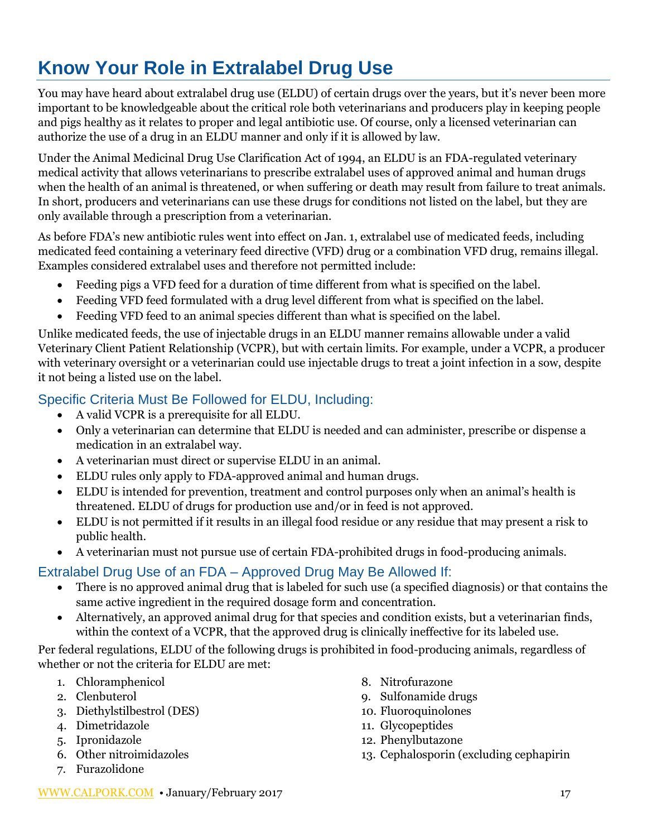# **Know Your Role in Extralabel Drug Use**

You may have heard about extralabel drug use (ELDU) of certain drugs over the years, but it's never been more important to be knowledgeable about the critical role both veterinarians and producers play in keeping people and pigs healthy as it relates to proper and legal antibiotic use. Of course, only a licensed veterinarian can authorize the use of a drug in an ELDU manner and only if it is allowed by law.

Under the Animal Medicinal Drug Use Clarification Act of 1994, an ELDU is an FDA-regulated veterinary medical activity that allows veterinarians to prescribe extralabel uses of approved animal and human drugs when the health of an animal is threatened, or when suffering or death may result from failure to treat animals. In short, producers and veterinarians can use these drugs for conditions not listed on the label, but they are only available through a prescription from a veterinarian.

As before FDA's new antibiotic rules went into effect on Jan. 1, extralabel use of medicated feeds, including medicated feed containing a veterinary feed directive (VFD) drug or a combination VFD drug, remains illegal. Examples considered extralabel uses and therefore not permitted include:

- Feeding pigs a VFD feed for a duration of time different from what is specified on the label.
- Feeding VFD feed formulated with a drug level different from what is specified on the label.
- Feeding VFD feed to an animal species different than what is specified on the label.

Unlike medicated feeds, the use of injectable drugs in an ELDU manner remains allowable under a valid Veterinary Client Patient Relationship (VCPR), but with certain limits. For example, under a VCPR, a producer with veterinary oversight or a veterinarian could use injectable drugs to treat a joint infection in a sow, despite it not being a listed use on the label.

#### Specific Criteria Must Be Followed for ELDU, Including:

- A valid VCPR is a prerequisite for all ELDU.
- Only a veterinarian can determine that ELDU is needed and can administer, prescribe or dispense a medication in an extralabel way.
- A veterinarian must direct or supervise ELDU in an animal.
- ELDU rules only apply to FDA-approved animal and human drugs.
- ELDU is intended for prevention, treatment and control purposes only when an animal's health is threatened. ELDU of drugs for production use and/or in feed is not approved.
- ELDU is not permitted if it results in an illegal food residue or any residue that may present a risk to public health.
- A veterinarian must not pursue use of certain FDA-prohibited drugs in food-producing animals.

### Extralabel Drug Use of an FDA – Approved Drug May Be Allowed If:

- There is no approved animal drug that is labeled for such use (a specified diagnosis) or that contains the same active ingredient in the required dosage form and concentration.
- Alternatively, an approved animal drug for that species and condition exists, but a veterinarian finds, within the context of a VCPR, that the approved drug is clinically ineffective for its labeled use.

Per federal regulations, ELDU of the following drugs is prohibited in food-producing animals, regardless of whether or not the criteria for ELDU are met:

- 1. Chloramphenicol
- 2. Clenbuterol
- 3. Diethylstilbestrol (DES)
- 4. Dimetridazole
- 5. Ipronidazole
- 6. Other nitroimidazoles
- 7. Furazolidone
- 8. Nitrofurazone
- 9. Sulfonamide drugs
- 10. Fluoroquinolones
- 11. Glycopeptides
- 12. Phenylbutazone
- 13. Cephalosporin (excluding cephapirin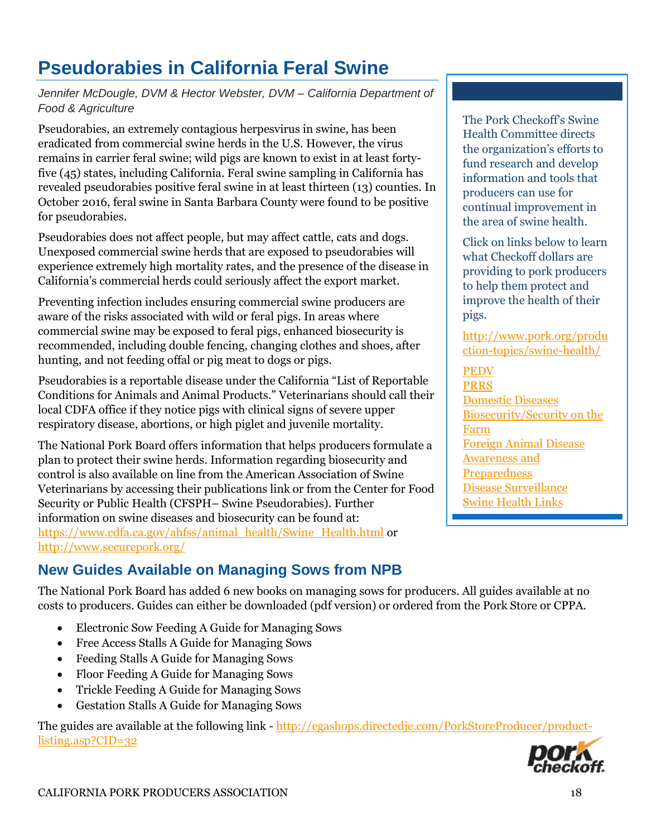# **Pseudorabies in California Feral Swine**

#### *Jennifer McDougle, DVM & Hector Webster, DVM – California Department of Food & Agriculture*

Pseudorabies, an extremely contagious herpesvirus in swine, has been eradicated from commercial swine herds in the U.S. However, the virus remains in carrier feral swine; wild pigs are known to exist in at least fortyfive (45) states, including California. Feral swine sampling in California has revealed pseudorabies positive feral swine in at least thirteen (13) counties. In October 2016, feral swine in Santa Barbara County were found to be positive for pseudorabies.

Pseudorabies does not affect people, but may affect cattle, cats and dogs. Unexposed commercial swine herds that are exposed to pseudorabies will experience extremely high mortality rates, and the presence of the disease in California's commercial herds could seriously affect the export market.

Preventing infection includes ensuring commercial swine producers are aware of the risks associated with wild or feral pigs. In areas where commercial swine may be exposed to feral pigs, enhanced biosecurity is recommended, including double fencing, changing clothes and shoes, after hunting, and not feeding offal or pig meat to dogs or pigs.

Pseudorabies is a reportable disease under the California "List of Reportable Conditions for Animals and Animal Products." Veterinarians should call their local CDFA office if they notice pigs with clinical signs of severe upper respiratory disease, abortions, or high piglet and juvenile mortality.

The National Pork Board offers information that helps producers formulate a plan to protect their swine herds. Information regarding biosecurity and control is also available on line from the American Association of Swine Veterinarians by accessing their publications link or from the Center for Food Security or Public Health (CFSPH– Swine Pseudorabies). Further information on swine diseases and biosecurity can be found at: [https://www.cdfa.ca.gov/ahfss/animal\\_health/Swine\\_Health.html](https://www.cdfa.ca.gov/ahfss/animal_health/Swine_Health.html) or <http://www.securepork.org/>

### **New Guides Available on Managing Sows from NPB**

The National Pork Board has added 6 new books on managing sows for producers. All guides available at no costs to producers. Guides can either be downloaded (pdf version) or ordered from the Pork Store or CPPA.

- Electronic Sow Feeding A Guide for Managing Sows
- Free Access Stalls A Guide for Managing Sows
- Feeding Stalls A Guide for Managing Sows
- Floor Feeding A Guide for Managing Sows
- Trickle Feeding A Guide for Managing Sows
- Gestation Stalls A Guide for Managing Sows

The guides are available at the following link - [http://egashops.directedje.com/PorkStoreProducer/product](http://egashops.directedje.com/PorkStoreProducer/product-listing.asp?CID=32)[listing.asp?CID=32](http://egashops.directedje.com/PorkStoreProducer/product-listing.asp?CID=32)

The Pork Checkoff's Swine Health Committee directs the organization's efforts to fund research and develop information and tools that producers can use for continual improvement in the area of swine health.

Click on links below to learn what Checkoff dollars are providing to pork producers to help them protect and improve the health of their pigs.

[http://www.pork.org/produ](http://www.pork.org/production-topics/swine-health/) [ction-topics/swine-health/](http://www.pork.org/production-topics/swine-health/)

[PEDV](http://www.pork.org/pork-checkoff-research/pedv/‎) [PRRS](http://www.pork.org/production-topics/swine-health/prrs/) [Domestic Diseases](http://www.pork.org/production-topics/swine-health/domestic-diseases/) [Biosecurity/Security on the](http://www.pork.org/production-topics/swine-health/pig-health-management/)  [Farm](http://www.pork.org/production-topics/swine-health/pig-health-management/) [Foreign Animal Disease](http://www.pork.org/production-topics/swine-health/foreign-animal-disease-including-foot-mouth-disease)  [Awareness and](http://www.pork.org/production-topics/swine-health/foreign-animal-disease-including-foot-mouth-disease)  [Preparedness](http://www.pork.org/production-topics/swine-health/foreign-animal-disease-including-foot-mouth-disease) [Disease Surveillance](http://www.pork.org/production-topics/swine-health/disease-surveillance/%20‎) [Swine Health Links](http://www.pork.org/production-topics/swine-health/swine-health-links/)

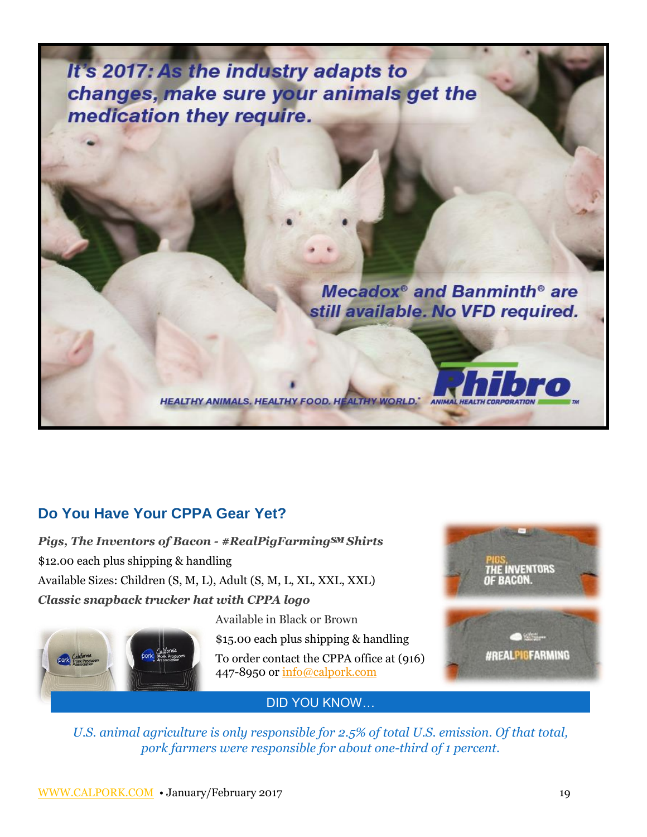It's 2017: As the industry adapts to changes, make sure your animals get the medication they require.

> Mecadox<sup>®</sup> and Banminth<sup>®</sup> are still available. No VFD required.

> > ANIMA

### **Do You Have Your CPPA Gear Yet?**

*Pigs, The Inventors of Bacon - #RealPigFarming℠ Shirts*  \$12.00 each plus shipping & handling Available Sizes: Children (S, M, L), Adult (S, M, L, XL, XXL, XXL) *Classic snapback trucker hat with CPPA logo* 



Available in Black or Brown

**HEALTHY ANIMALS. HEALTHY FOOD. HEALTHY WORLD.\*** 

\$15.00 each plus shipping & handling

To order contact the CPPA office at (916) 447-8950 or [info@calpork.com](mailto:info@calpork.com)



DID YOU KNOW…

*U.S. animal agriculture is only responsible for 2.5% of total U.S. emission. Of that total, pork farmers were responsible for about one-third of 1 percent.*